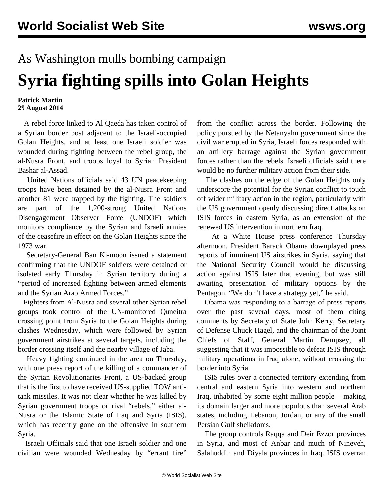## As Washington mulls bombing campaign **Syria fighting spills into Golan Heights**

## **Patrick Martin 29 August 2014**

 A rebel force linked to Al Qaeda has taken control of a Syrian border post adjacent to the Israeli-occupied Golan Heights, and at least one Israeli soldier was wounded during fighting between the rebel group, the al-Nusra Front, and troops loyal to Syrian President Bashar al-Assad.

 United Nations officials said 43 UN peacekeeping troops have been detained by the al-Nusra Front and another 81 were trapped by the fighting. The soldiers are part of the 1,200-strong United Nations Disengagement Observer Force (UNDOF) which monitors compliance by the Syrian and Israeli armies of the ceasefire in effect on the Golan Heights since the 1973 war.

 Secretary-General Ban Ki-moon issued a statement confirming that the UNDOF soldiers were detained or isolated early Thursday in Syrian territory during a "period of increased fighting between armed elements and the Syrian Arab Armed Forces."

 Fighters from Al-Nusra and several other Syrian rebel groups took control of the UN-monitored Quneitra crossing point from Syria to the Golan Heights during clashes Wednesday, which were followed by Syrian government airstrikes at several targets, including the border crossing itself and the nearby village of Jaba.

 Heavy fighting continued in the area on Thursday, with one press report of the killing of a commander of the Syrian Revolutionaries Front, a US-backed group that is the first to have received US-supplied TOW antitank missiles. It was not clear whether he was killed by Syrian government troops or rival "rebels," either al-Nusra or the Islamic State of Iraq and Syria (ISIS), which has recently gone on the offensive in southern Syria.

 Israeli Officials said that one Israeli soldier and one civilian were wounded Wednesday by "errant fire"

from the conflict across the border. Following the policy pursued by the Netanyahu government since the civil war erupted in Syria, Israeli forces responded with an artillery barrage against the Syrian government forces rather than the rebels. Israeli officials said there would be no further military action from their side.

 The clashes on the edge of the Golan Heights only underscore the potential for the Syrian conflict to touch off wider military action in the region, particularly with the US government openly discussing direct attacks on ISIS forces in eastern Syria, as an extension of the renewed US intervention in northern Iraq.

 At a White House press conference Thursday afternoon, President Barack Obama downplayed press reports of imminent US airstrikes in Syria, saying that the National Security Council would be discussing action against ISIS later that evening, but was still awaiting presentation of military options by the Pentagon. "We don't have a strategy yet," he said.

 Obama was responding to a barrage of press reports over the past several days, most of them citing comments by Secretary of State John Kerry, Secretary of Defense Chuck Hagel, and the chairman of the Joint Chiefs of Staff, General Martin Dempsey, all suggesting that it was impossible to defeat ISIS through military operations in Iraq alone, without crossing the border into Syria.

 ISIS rules over a connected territory extending from central and eastern Syria into western and northern Iraq, inhabited by some eight million people – making its domain larger and more populous than several Arab states, including Lebanon, Jordan, or any of the small Persian Gulf sheikdoms.

 The group controls Raqqa and Deir Ezzor provinces in Syria, and most of Anbar and much of Nineveh, Salahuddin and Diyala provinces in Iraq. ISIS overran